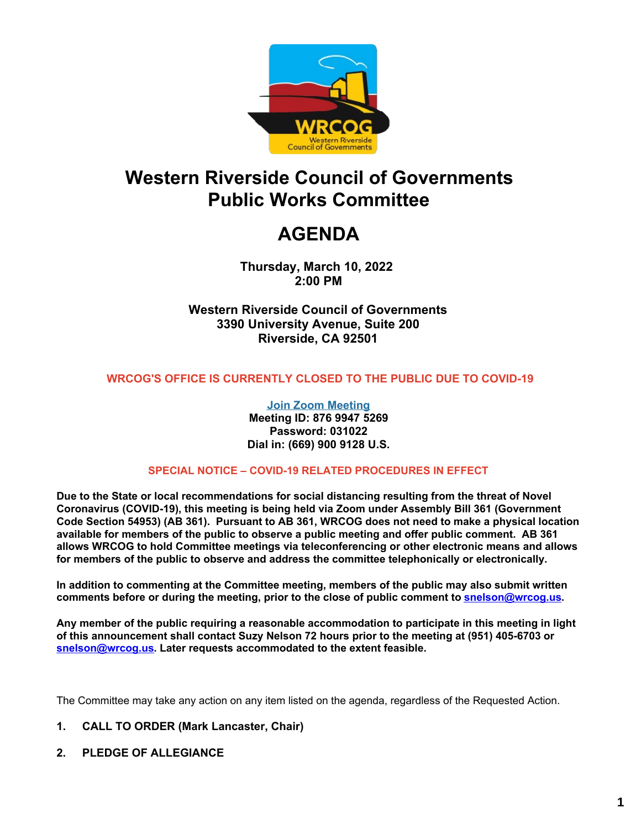

# **Western Riverside Council of Governments Public Works Committee**

# **AGENDA**

**Thursday, March 10, 2022 2:00 PM**

**Western Riverside Council of Governments 3390 University Avenue, Suite 200 Riverside, CA 92501**

#### **WRCOG'S OFFICE IS CURRENTLY CLOSED TO THE PUBLIC DUE TO COVID-19**

**Join Zoom [Meeting](https://us02web.zoom.us/j/87699475269?pwd=K3ZHMVNMYW8zczIrVGkyeFljWXJ6QT09) Meeting ID: 876 9947 5269 Password: 031022 Dial in: (669) 900 9128 U.S.**

#### **SPECIAL NOTICE – COVID-19 RELATED PROCEDURES IN EFFECT**

**Due to the State or local recommendations for social distancing resulting from the threat of Novel Coronavirus (COVID-19), this meeting is being held via Zoom under Assembly Bill 361 (Government Code Section 54953) (AB 361). Pursuant to AB 361, WRCOG does not need to make a physical location available for members of the public to observe a public meeting and offer public comment. AB 361 allows WRCOG to hold Committee meetings via teleconferencing or other electronic means and allows for members of the public to observe and address the committee telephonically or electronically.**

**In addition to commenting at the Committee meeting, members of the public may also submit written comments before or during the meeting, prior to the close of public comment to [snelson@wrcog.us](mailto:snelson@wrcog.us?subject=Public%20Comment).**

**Any member of the public requiring a reasonable accommodation to participate in this meeting in light of this announcement shall contact Suzy Nelson 72 hours prior to the meeting at (951) 405-6703 or [snelson@wrcog.us](mailto:snelson@wrcog.us?subject=Accommodation). Later requests accommodated to the extent feasible.**

The Committee may take any action on any item listed on the agenda, regardless of the Requested Action.

#### **1. CALL TO ORDER (Mark Lancaster, Chair)**

**2. PLEDGE OF ALLEGIANCE**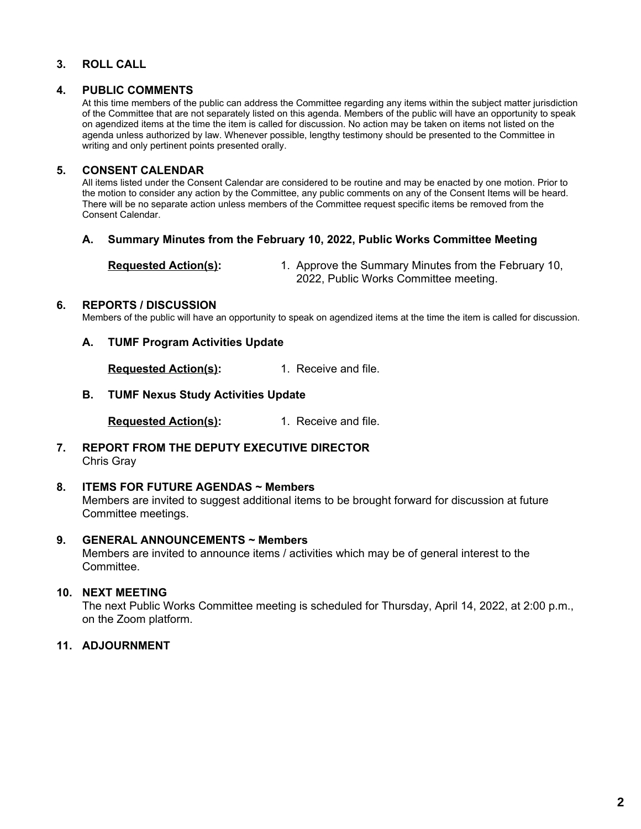#### **3. ROLL CALL**

#### **4. PUBLIC COMMENTS**

At this time members of the public can address the Committee regarding any items within the subject matter jurisdiction of the Committee that are not separately listed on this agenda. Members of the public will have an opportunity to speak on agendized items at the time the item is called for discussion. No action may be taken on items not listed on the agenda unless authorized by law. Whenever possible, lengthy testimony should be presented to the Committee in writing and only pertinent points presented orally.

#### **5. CONSENT CALENDAR**

All items listed under the Consent Calendar are considered to be routine and may be enacted by one motion. Prior to the motion to consider any action by the Committee, any public comments on any of the Consent Items will be heard. There will be no separate action unless members of the Committee request specific items be removed from the Consent Calendar.

#### **A. Summary Minutes from the February 10, 2022, Public Works Committee Meeting**

**Requested Action(s):** 1. Approve the Summary Minutes from the February 10, 2022, Public Works Committee meeting.

#### **6. REPORTS / DISCUSSION**

Members of the public will have an opportunity to speak on agendized items at the time the item is called for discussion.

#### **A. TUMF Program Activities Update**

**Requested Action(s):** 1. Receive and file.

**B. TUMF Nexus Study Activities Update**

**Requested Action(s):** 1. Receive and file.

**7. REPORT FROM THE DEPUTY EXECUTIVE DIRECTOR** Chris Gray

#### **8. ITEMS FOR FUTURE AGENDAS ~ Members**

Members are invited to suggest additional items to be brought forward for discussion at future Committee meetings.

#### **9. GENERAL ANNOUNCEMENTS ~ Members**

Members are invited to announce items / activities which may be of general interest to the Committee.

#### **10. NEXT MEETING**

The next Public Works Committee meeting is scheduled for Thursday, April 14, 2022, at 2:00 p.m., on the Zoom platform.

#### **11. ADJOURNMENT**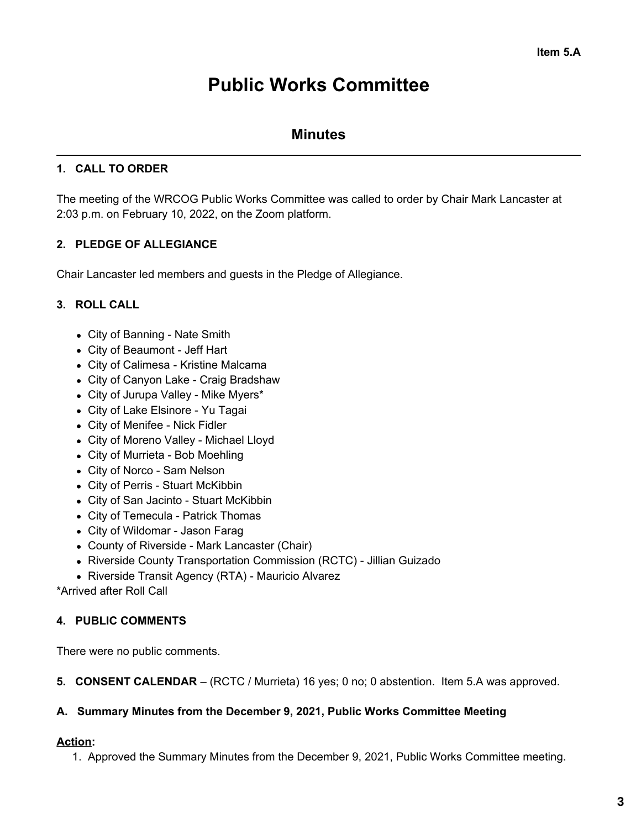# **Public Works Committee**

## **Minutes**

## **1. CALL TO ORDER**

The meeting of the WRCOG Public Works Committee was called to order by Chair Mark Lancaster at 2:03 p.m. on February 10, 2022, on the Zoom platform.

## **2. PLEDGE OF ALLEGIANCE**

Chair Lancaster led members and guests in the Pledge of Allegiance.

### **3. ROLL CALL**

- City of Banning Nate Smith
- City of Beaumont Jeff Hart
- City of Calimesa Kristine Malcama
- City of Canyon Lake Craig Bradshaw
- City of Jurupa Valley Mike Myers\*
- City of Lake Elsinore Yu Tagai
- City of Menifee Nick Fidler
- City of Moreno Valley Michael Lloyd
- City of Murrieta Bob Moehling
- City of Norco Sam Nelson
- City of Perris Stuart McKibbin
- City of San Jacinto Stuart McKibbin
- City of Temecula Patrick Thomas
- City of Wildomar Jason Farag
- County of Riverside Mark Lancaster (Chair)
- Riverside County Transportation Commission (RCTC) Jillian Guizado
- Riverside Transit Agency (RTA) Mauricio Alvarez

\*Arrived after Roll Call

### **4. PUBLIC COMMENTS**

There were no public comments.

**5. CONSENT CALENDAR** – (RCTC / Murrieta) 16 yes; 0 no; 0 abstention. Item 5.A was approved.

### **A. Summary Minutes from the December 9, 2021, Public Works Committee Meeting**

#### **Action:**

1. Approved the Summary Minutes from the December 9, 2021, Public Works Committee meeting.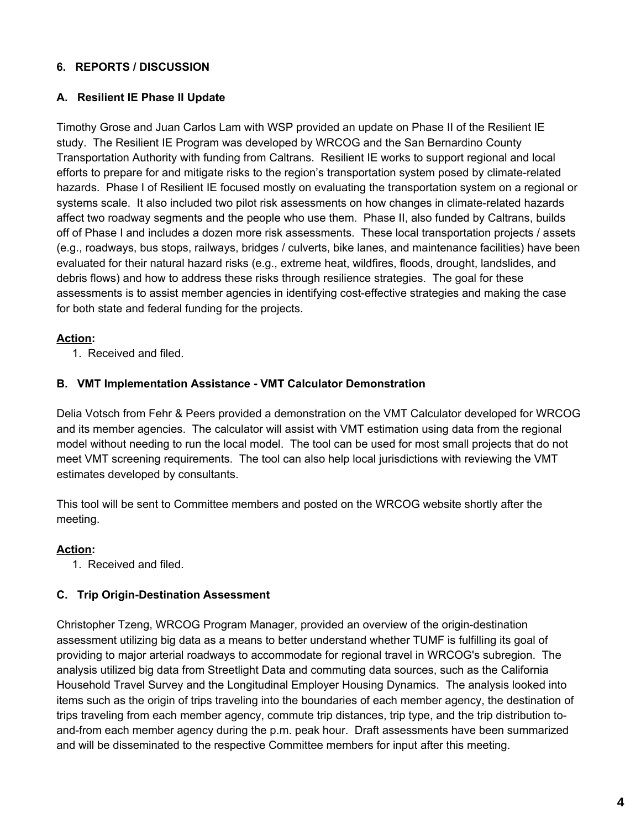### **6. REPORTS / DISCUSSION**

#### **A. Resilient IE Phase II Update**

Timothy Grose and Juan Carlos Lam with WSP provided an update on Phase II of the Resilient IE study. The Resilient IE Program was developed by WRCOG and the San Bernardino County Transportation Authority with funding from Caltrans. Resilient IE works to support regional and local efforts to prepare for and mitigate risks to the region's transportation system posed by climate-related hazards. Phase I of Resilient IE focused mostly on evaluating the transportation system on a regional or systems scale. It also included two pilot risk assessments on how changes in climate-related hazards affect two roadway segments and the people who use them. Phase II, also funded by Caltrans, builds off of Phase I and includes a dozen more risk assessments. These local transportation projects / assets (e.g., roadways, bus stops, railways, bridges / culverts, bike lanes, and maintenance facilities) have been evaluated for their natural hazard risks (e.g., extreme heat, wildfires, floods, drought, landslides, and debris flows) and how to address these risks through resilience strategies. The goal for these assessments is to assist member agencies in identifying cost-effective strategies and making the case for both state and federal funding for the projects.

#### **Action:**

1. Received and filed.

#### **B. VMT Implementation Assistance - VMT Calculator Demonstration**

Delia Votsch from Fehr & Peers provided a demonstration on the VMT Calculator developed for WRCOG and its member agencies. The calculator will assist with VMT estimation using data from the regional model without needing to run the local model. The tool can be used for most small projects that do not meet VMT screening requirements. The tool can also help local jurisdictions with reviewing the VMT estimates developed by consultants.

This tool will be sent to Committee members and posted on the WRCOG website shortly after the meeting.

### **Action:**

1. Received and filed.

## **C. Trip Origin-Destination Assessment**

Christopher Tzeng, WRCOG Program Manager, provided an overview of the origin-destination assessment utilizing big data as a means to better understand whether TUMF is fulfilling its goal of providing to major arterial roadways to accommodate for regional travel in WRCOG's subregion. The analysis utilized big data from Streetlight Data and commuting data sources, such as the California Household Travel Survey and the Longitudinal Employer Housing Dynamics. The analysis looked into items such as the origin of trips traveling into the boundaries of each member agency, the destination of trips traveling from each member agency, commute trip distances, trip type, and the trip distribution toand-from each member agency during the p.m. peak hour. Draft assessments have been summarized and will be disseminated to the respective Committee members for input after this meeting.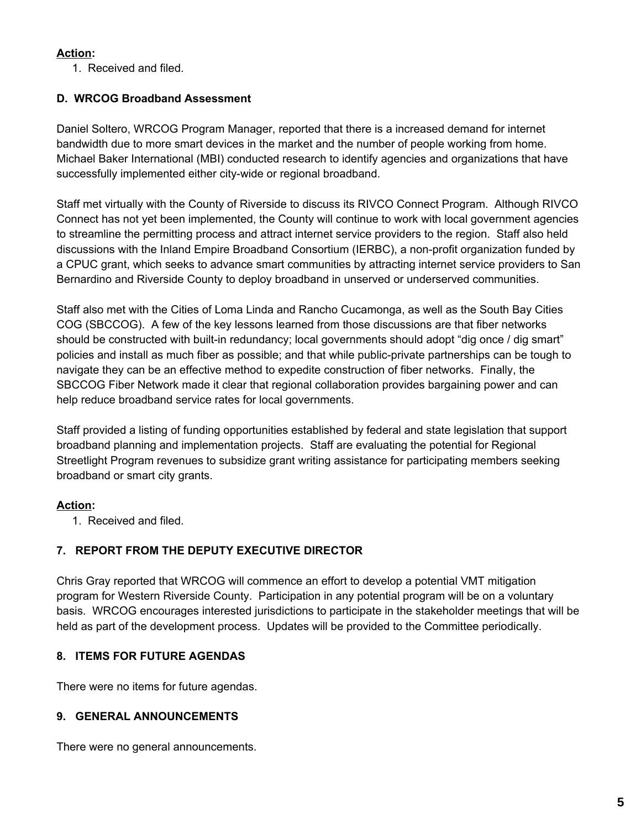## **Action:**

1. Received and filed.

## **D. WRCOG Broadband Assessment**

Daniel Soltero, WRCOG Program Manager, reported that there is a increased demand for internet bandwidth due to more smart devices in the market and the number of people working from home. Michael Baker International (MBI) conducted research to identify agencies and organizations that have successfully implemented either city-wide or regional broadband.

Staff met virtually with the County of Riverside to discuss its RIVCO Connect Program. Although RIVCO Connect has not yet been implemented, the County will continue to work with local government agencies to streamline the permitting process and attract internet service providers to the region. Staff also held discussions with the Inland Empire Broadband Consortium (IERBC), a non-profit organization funded by a CPUC grant, which seeks to advance smart communities by attracting internet service providers to San Bernardino and Riverside County to deploy broadband in unserved or underserved communities.

Staff also met with the Cities of Loma Linda and Rancho Cucamonga, as well as the South Bay Cities COG (SBCCOG). A few of the key lessons learned from those discussions are that fiber networks should be constructed with built-in redundancy; local governments should adopt "dig once / dig smart" policies and install as much fiber as possible; and that while public-private partnerships can be tough to navigate they can be an effective method to expedite construction of fiber networks. Finally, the SBCCOG Fiber Network made it clear that regional collaboration provides bargaining power and can help reduce broadband service rates for local governments.

Staff provided a listing of funding opportunities established by federal and state legislation that support broadband planning and implementation projects. Staff are evaluating the potential for Regional Streetlight Program revenues to subsidize grant writing assistance for participating members seeking broadband or smart city grants.

### **Action:**

1. Received and filed.

## **7. REPORT FROM THE DEPUTY EXECUTIVE DIRECTOR**

Chris Gray reported that WRCOG will commence an effort to develop a potential VMT mitigation program for Western Riverside County. Participation in any potential program will be on a voluntary basis. WRCOG encourages interested jurisdictions to participate in the stakeholder meetings that will be held as part of the development process. Updates will be provided to the Committee periodically.

## **8. ITEMS FOR FUTURE AGENDAS**

There were no items for future agendas.

## **9. GENERAL ANNOUNCEMENTS**

There were no general announcements.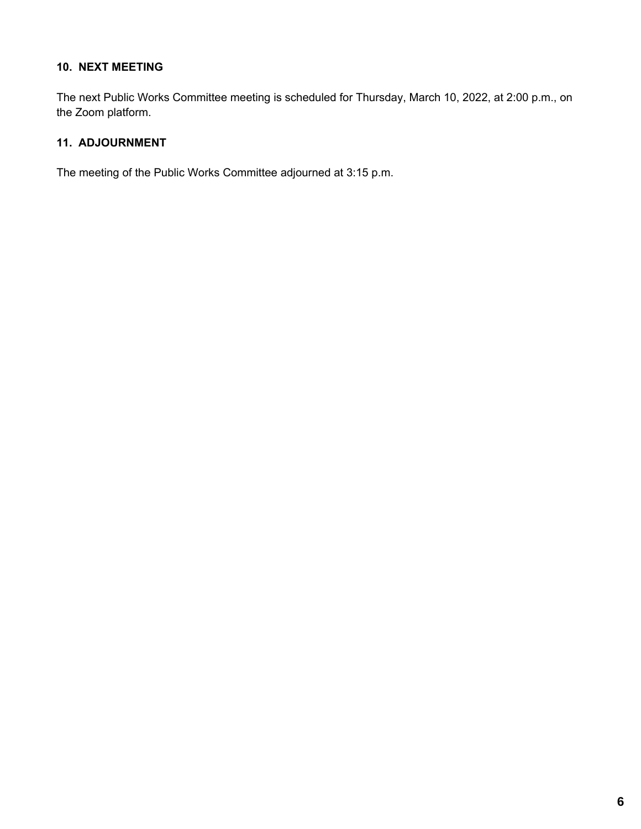#### **10. NEXT MEETING**

The next Public Works Committee meeting is scheduled for Thursday, March 10, 2022, at 2:00 p.m., on the Zoom platform.

#### **11. ADJOURNMENT**

The meeting of the Public Works Committee adjourned at 3:15 p.m.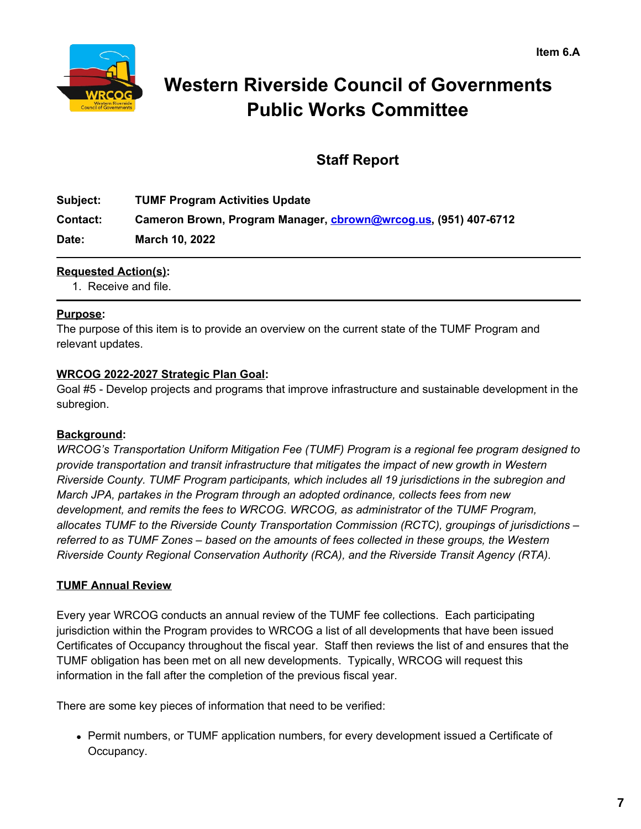

# **Western Riverside Council of Governments Public Works Committee**

## **Staff Report**

**Subject: TUMF Program Activities Update Contact: Cameron Brown, Program Manager, [cbrown@wrcog.us](mailto:cbrown@wrcog.us), (951) 407-6712 Date: March 10, 2022**

## **Requested Action(s):**

1. Receive and file.

### **Purpose:**

The purpose of this item is to provide an overview on the current state of the TUMF Program and relevant updates.

### **WRCOG 2022-2027 Strategic Plan Goal:**

Goal #5 - Develop projects and programs that improve infrastructure and sustainable development in the subregion.

### **Background:**

*WRCOG's Transportation Uniform Mitigation Fee (TUMF) Program is a regional fee program designed to provide transportation and transit infrastructure that mitigates the impact of new growth in Western Riverside County. TUMF Program participants, which includes all 19 jurisdictions in the subregion and March JPA, partakes in the Program through an adopted ordinance, collects fees from new development, and remits the fees to WRCOG. WRCOG, as administrator of the TUMF Program, allocates TUMF to the Riverside County Transportation Commission (RCTC), groupings of jurisdictions – referred to as TUMF Zones – based on the amounts of fees collected in these groups, the Western Riverside County Regional Conservation Authority (RCA), and the Riverside Transit Agency (RTA).*

### **TUMF Annual Review**

Every year WRCOG conducts an annual review of the TUMF fee collections. Each participating jurisdiction within the Program provides to WRCOG a list of all developments that have been issued Certificates of Occupancy throughout the fiscal year. Staff then reviews the list of and ensures that the TUMF obligation has been met on all new developments. Typically, WRCOG will request this information in the fall after the completion of the previous fiscal year.

There are some key pieces of information that need to be verified:

Permit numbers, or TUMF application numbers, for every development issued a Certificate of Occupancy.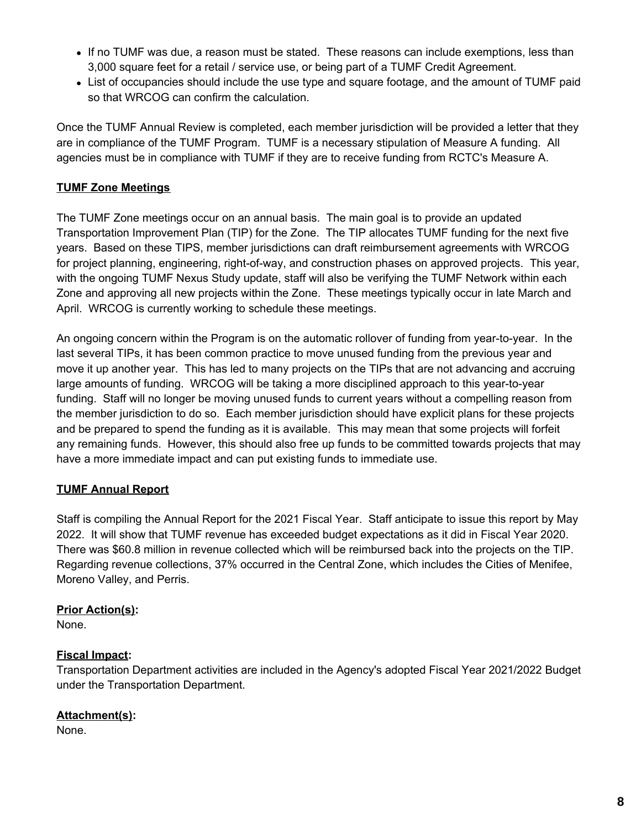- If no TUMF was due, a reason must be stated. These reasons can include exemptions, less than 3,000 square feet for a retail / service use, or being part of a TUMF Credit Agreement.
- List of occupancies should include the use type and square footage, and the amount of TUMF paid so that WRCOG can confirm the calculation.

Once the TUMF Annual Review is completed, each member jurisdiction will be provided a letter that they are in compliance of the TUMF Program. TUMF is a necessary stipulation of Measure A funding. All agencies must be in compliance with TUMF if they are to receive funding from RCTC's Measure A.

## **TUMF Zone Meetings**

The TUMF Zone meetings occur on an annual basis. The main goal is to provide an updated Transportation Improvement Plan (TIP) for the Zone. The TIP allocates TUMF funding for the next five years. Based on these TIPS, member jurisdictions can draft reimbursement agreements with WRCOG for project planning, engineering, right-of-way, and construction phases on approved projects. This year, with the ongoing TUMF Nexus Study update, staff will also be verifying the TUMF Network within each Zone and approving all new projects within the Zone. These meetings typically occur in late March and April. WRCOG is currently working to schedule these meetings.

An ongoing concern within the Program is on the automatic rollover of funding from year-to-year. In the last several TIPs, it has been common practice to move unused funding from the previous year and move it up another year. This has led to many projects on the TIPs that are not advancing and accruing large amounts of funding. WRCOG will be taking a more disciplined approach to this year-to-year funding. Staff will no longer be moving unused funds to current years without a compelling reason from the member jurisdiction to do so. Each member jurisdiction should have explicit plans for these projects and be prepared to spend the funding as it is available. This may mean that some projects will forfeit any remaining funds. However, this should also free up funds to be committed towards projects that may have a more immediate impact and can put existing funds to immediate use.

## **TUMF Annual Report**

Staff is compiling the Annual Report for the 2021 Fiscal Year. Staff anticipate to issue this report by May 2022. It will show that TUMF revenue has exceeded budget expectations as it did in Fiscal Year 2020. There was \$60.8 million in revenue collected which will be reimbursed back into the projects on the TIP. Regarding revenue collections, 37% occurred in the Central Zone, which includes the Cities of Menifee, Moreno Valley, and Perris.

### **Prior Action(s):**

None.

## **Fiscal Impact:**

Transportation Department activities are included in the Agency's adopted Fiscal Year 2021/2022 Budget under the Transportation Department.

## **Attachment(s):**

None.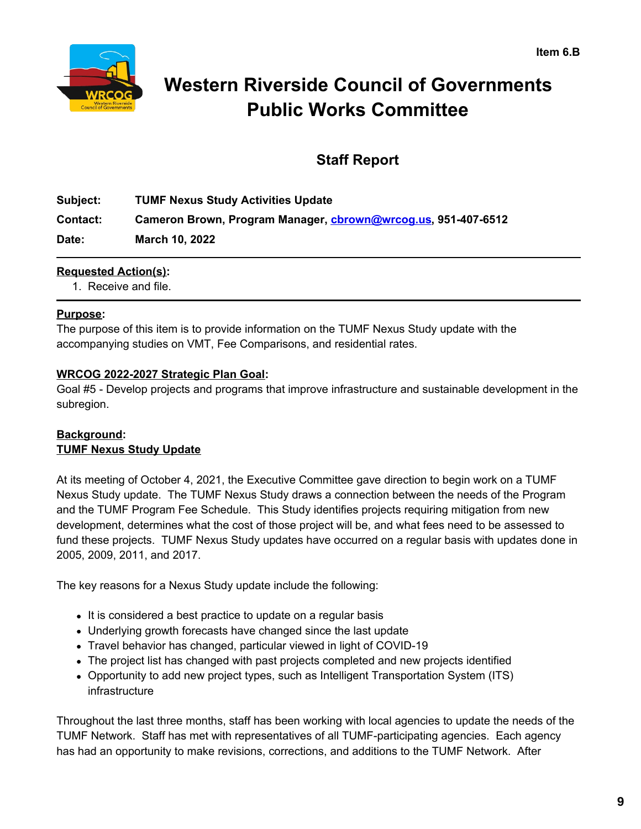

# **Western Riverside Council of Governments Public Works Committee**

## **Staff Report**

**Subject: TUMF Nexus Study Activities Update Contact: Cameron Brown, Program Manager, [cbrown@wrcog.us](mailto:cbrown@wrcog.us), 951-407-6512 Date: March 10, 2022**

### **Requested Action(s):**

1. Receive and file.

### **Purpose:**

The purpose of this item is to provide information on the TUMF Nexus Study update with the accompanying studies on VMT, Fee Comparisons, and residential rates.

## **WRCOG 2022-2027 Strategic Plan Goal:**

Goal #5 - Develop projects and programs that improve infrastructure and sustainable development in the subregion.

## **Background: TUMF Nexus Study Update**

At its meeting of October 4, 2021, the Executive Committee gave direction to begin work on a TUMF Nexus Study update. The TUMF Nexus Study draws a connection between the needs of the Program and the TUMF Program Fee Schedule. This Study identifies projects requiring mitigation from new development, determines what the cost of those project will be, and what fees need to be assessed to fund these projects. TUMF Nexus Study updates have occurred on a regular basis with updates done in 2005, 2009, 2011, and 2017.

The key reasons for a Nexus Study update include the following:

- It is considered a best practice to update on a regular basis
- Underlying growth forecasts have changed since the last update
- Travel behavior has changed, particular viewed in light of COVID-19
- The project list has changed with past projects completed and new projects identified
- Opportunity to add new project types, such as Intelligent Transportation System (ITS) infrastructure

Throughout the last three months, staff has been working with local agencies to update the needs of the TUMF Network. Staff has met with representatives of all TUMF-participating agencies. Each agency has had an opportunity to make revisions, corrections, and additions to the TUMF Network. After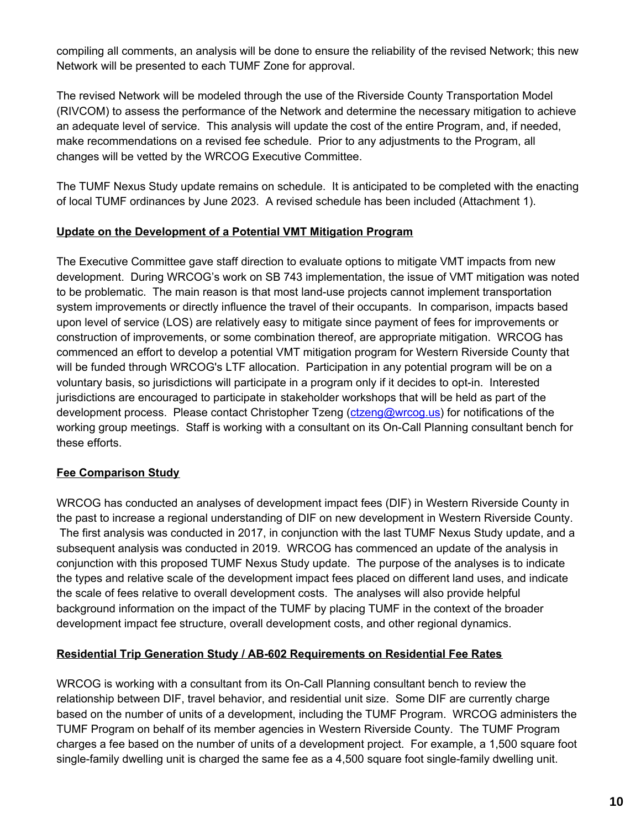compiling all comments, an analysis will be done to ensure the reliability of the revised Network; this new Network will be presented to each TUMF Zone for approval.

The revised Network will be modeled through the use of the Riverside County Transportation Model (RIVCOM) to assess the performance of the Network and determine the necessary mitigation to achieve an adequate level of service. This analysis will update the cost of the entire Program, and, if needed, make recommendations on a revised fee schedule. Prior to any adjustments to the Program, all changes will be vetted by the WRCOG Executive Committee.

The TUMF Nexus Study update remains on schedule. It is anticipated to be completed with the enacting of local TUMF ordinances by June 2023. A revised schedule has been included (Attachment 1).

### **Update on the Development of a Potential VMT Mitigation Program**

The Executive Committee gave staff direction to evaluate options to mitigate VMT impacts from new development. During WRCOG's work on SB 743 implementation, the issue of VMT mitigation was noted to be problematic. The main reason is that most land-use projects cannot implement transportation system improvements or directly influence the travel of their occupants. In comparison, impacts based upon level of service (LOS) are relatively easy to mitigate since payment of fees for improvements or construction of improvements, or some combination thereof, are appropriate mitigation. WRCOG has commenced an effort to develop a potential VMT mitigation program for Western Riverside County that will be funded through WRCOG's LTF allocation. Participation in any potential program will be on a voluntary basis, so jurisdictions will participate in a program only if it decides to opt-in. Interested jurisdictions are encouraged to participate in stakeholder workshops that will be held as part of the development process. Please contact Christopher Tzeng [\(ctzeng@wrcog.us](mailto:ctzeng@wrcog.us)) for notifications of the working group meetings. Staff is working with a consultant on its On-Call Planning consultant bench for these efforts.

### **Fee Comparison Study**

WRCOG has conducted an analyses of development impact fees (DIF) in Western Riverside County in the past to increase a regional understanding of DIF on new development in Western Riverside County. The first analysis was conducted in 2017, in conjunction with the last TUMF Nexus Study update, and a subsequent analysis was conducted in 2019. WRCOG has commenced an update of the analysis in conjunction with this proposed TUMF Nexus Study update. The purpose of the analyses is to indicate the types and relative scale of the development impact fees placed on different land uses, and indicate the scale of fees relative to overall development costs. The analyses will also provide helpful background information on the impact of the TUMF by placing TUMF in the context of the broader development impact fee structure, overall development costs, and other regional dynamics.

### **Residential Trip Generation Study / AB-602 Requirements on Residential Fee Rates**

WRCOG is working with a consultant from its On-Call Planning consultant bench to review the relationship between DIF, travel behavior, and residential unit size. Some DIF are currently charge based on the number of units of a development, including the TUMF Program. WRCOG administers the TUMF Program on behalf of its member agencies in Western Riverside County. The TUMF Program charges a fee based on the number of units of a development project. For example, a 1,500 square foot single-family dwelling unit is charged the same fee as a 4,500 square foot single-family dwelling unit.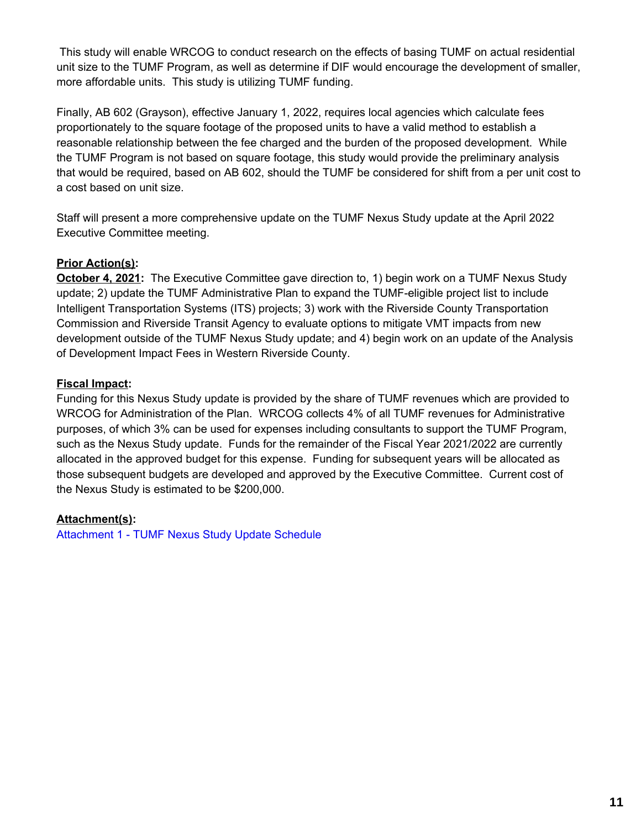This study will enable WRCOG to conduct research on the effects of basing TUMF on actual residential unit size to the TUMF Program, as well as determine if DIF would encourage the development of smaller, more affordable units. This study is utilizing TUMF funding.

Finally, AB 602 (Grayson), effective January 1, 2022, requires local agencies which calculate fees proportionately to the square footage of the proposed units to have a valid method to establish a reasonable relationship between the fee charged and the burden of the proposed development. While the TUMF Program is not based on square footage, this study would provide the preliminary analysis that would be required, based on AB 602, should the TUMF be considered for shift from a per unit cost to a cost based on unit size.

Staff will present a more comprehensive update on the TUMF Nexus Study update at the April 2022 Executive Committee meeting.

## **Prior Action(s):**

**October 4, 2021:** The Executive Committee gave direction to, 1) begin work on a TUMF Nexus Study update; 2) update the TUMF Administrative Plan to expand the TUMF-eligible project list to include Intelligent Transportation Systems (ITS) projects; 3) work with the Riverside County Transportation Commission and Riverside Transit Agency to evaluate options to mitigate VMT impacts from new development outside of the TUMF Nexus Study update; and 4) begin work on an update of the Analysis of Development Impact Fees in Western Riverside County.

### **Fiscal Impact:**

Funding for this Nexus Study update is provided by the share of TUMF revenues which are provided to WRCOG for Administration of the Plan. WRCOG collects 4% of all TUMF revenues for Administrative purposes, of which 3% can be used for expenses including consultants to support the TUMF Program, such as the Nexus Study update. Funds for the remainder of the Fiscal Year 2021/2022 are currently allocated in the approved budget for this expense. Funding for subsequent years will be allocated as those subsequent budgets are developed and approved by the Executive Committee. Current cost of the Nexus Study is estimated to be \$200,000.

#### **Attachment(s):**

[Attachment](https://legistarweb-production.s3.amazonaws.com/uploads/attachment/pdf/1270286/TUMF2021NexusUpdateSchedule-revised.pdf) 1 - TUMF Nexus Study Update Schedule